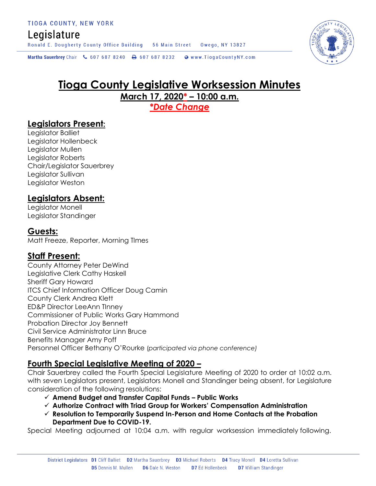# Legislature

Ronald E. Dougherty County Office Building 56 Main Street Owego, NY 13827

Martha Sauerbrey Chair & 607 687 8240 <a>B</a>607 687 8232 <a>B</a>Www.TiogaCountyNY.com

# **Tioga County Legislative Worksession Minutes March 17, 2020\* – 10:00 a.m.**

*\*Date Change*

# **Legislators Present:**

Legislator Balliet Legislator Hollenbeck Legislator Mullen Legislator Roberts Chair/Legislator Sauerbrey Legislator Sullivan Legislator Weston

# **Legislators Absent:**

Legislator Monell Legislator Standinger

### **Guests:**

Matt Freeze, Reporter, Morning TImes

# **Staff Present:**

County Attorney Peter DeWind Legislative Clerk Cathy Haskell Sheriff Gary Howard ITCS Chief Information Officer Doug Camin County Clerk Andrea Klett ED&P Director LeeAnn TInney Commissioner of Public Works Gary Hammond Probation Director Joy Bennett Civil Service Administrator Linn Bruce Benefits Manager Amy Poff Personnel Officer Bethany O'Rourke (*participated via phone conference)*

# **Fourth Special Legislative Meeting of 2020 –**

Chair Sauerbrey called the Fourth Special Legislature Meeting of 2020 to order at 10:02 a.m. with seven Legislators present, Legislators Monell and Standinger being absent, for Legislature consideration of the following resolutions:

- **Amend Budget and Transfer Capital Funds – Public Works**
- **Authorize Contract with Triad Group for Workers' Compensation Administration**
- **Resolution to Temporarily Suspend In-Person and Home Contacts at the Probation Department Due to COVID-19.**

Special Meeting adjourned at 10:04 a.m. with regular worksession immediately following.

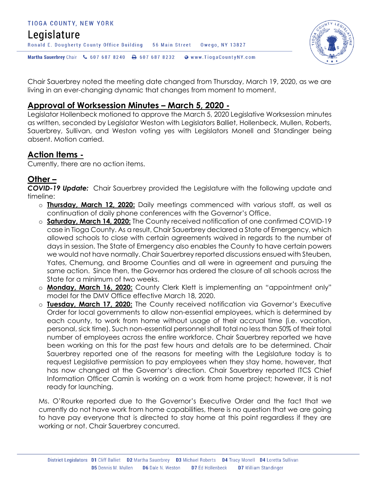### TIOGA COUNTY, NEW YORK Legislature Ronald E. Dougherty County Office Building 56 Main Street Owego, NY 13827 Martha Sauerbrey Chair & 607 687 8240 & 607 687 8232 Www.TiogaCountyNY.com



Chair Sauerbrey noted the meeting date changed from Thursday, March 19, 2020, as we are living in an ever-changing dynamic that changes from moment to moment.

# **Approval of Worksession Minutes – March 5, 2020 -**

Legislator Hollenbeck motioned to approve the March 5, 2020 Legislative Worksession minutes as written, seconded by Legislator Weston with Legislators Balliet, Hollenbeck, Mullen, Roberts, Sauerbrey, Sullivan, and Weston voting yes with Legislators Monell and Standinger being absent. Motion carried.

### **Action Items -**

Currently, there are no action items.

# **Other –**

*COVID-19 Update:* Chair Sauerbrey provided the Legislature with the following update and timeline:

- o **Thursday, March 12, 2020:** Daily meetings commenced with various staff, as well as continuation of daily phone conferences with the Governor's Office.
- o **Saturday, March 14, 2020:** The County received notification of one confirmed COVID-19 case in Tioga County. As a result, Chair Sauerbrey declared a State of Emergency, which allowed schools to close with certain agreements waived in regards to the number of days in session. The State of Emergency also enables the County to have certain powers we would not have normally. Chair Sauerbrey reported discussions ensued with Steuben, Yates, Chemung, and Broome Counties and all were in agreement and pursuing the same action. Since then, the Governor has ordered the closure of all schools across the State for a minimum of two weeks.
- o **Monday, March 16, 2020:** County Clerk Klett is implementing an "appointment only" model for the DMV Office effective March 18, 2020.
- o **Tuesday, March 17, 2020:** The County received notification via Governor's Executive Order for local governments to allow non-essential employees, which is determined by each county, to work from home without usage of their accrual time (i.e. vacation, personal, sick time). Such non-essential personnel shall total no less than 50% of their total number of employees across the entire workforce. Chair Sauerbrey reported we have been working on this for the past few hours and details are to be determined. Chair Sauerbrey reported one of the reasons for meeting with the Legislature today is to request Legislative permission to pay employees when they stay home, however, that has now changed at the Governor's direction. Chair Sauerbrey reported ITCS Chief Information Officer Camin is working on a work from home project; however, it is not ready for launching.

Ms. O'Rourke reported due to the Governor's Executive Order and the fact that we currently do not have work from home capabilities, there is no question that we are going to have pay everyone that is directed to stay home at this point regardless if they are working or not. Chair Sauerbrey concurred.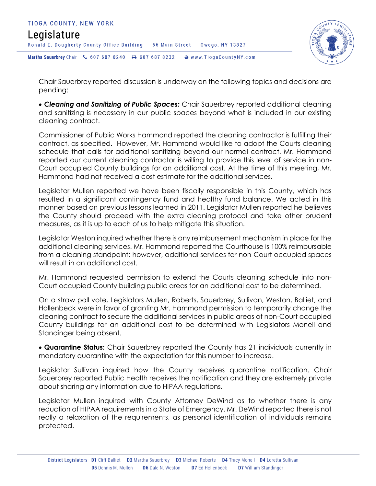



Chair Sauerbrey reported discussion is underway on the following topics and decisions are pending:

 *Cleaning and Sanitizing of Public Spaces:* Chair Sauerbrey reported additional cleaning and sanitizing is necessary in our public spaces beyond what is included in our existing cleaning contract.

Commissioner of Public Works Hammond reported the cleaning contractor is fulfilling their contract, as specified. However, Mr. Hammond would like to adopt the Courts cleaning schedule that calls for additional sanitizing beyond our normal contract. Mr. Hammond reported our current cleaning contractor is willing to provide this level of service in non-Court occupied County buildings for an additional cost. At the time of this meeting, Mr. Hammond had not received a cost estimate for the additional services.

Legislator Mullen reported we have been fiscally responsible in this County, which has resulted in a significant contingency fund and healthy fund balance. We acted in this manner based on previous lessons learned in 2011. Legislator Mullen reported he believes the County should proceed with the extra cleaning protocol and take other prudent measures, as it is up to each of us to help mitigate this situation.

Legislator Weston inquired whether there is any reimbursement mechanism in place for the additional cleaning services. Mr. Hammond reported the Courthouse is 100% reimbursable from a cleaning standpoint; however, additional services for non-Court occupied spaces will result in an additional cost.

Mr. Hammond requested permission to extend the Courts cleaning schedule into non-Court occupied County building public areas for an additional cost to be determined.

On a straw poll vote, Legislators Mullen, Roberts, Sauerbrey, Sullivan, Weston, Balliet, and Hollenbeck were in favor of granting Mr. Hammond permission to temporarily change the cleaning contract to secure the additional services in public areas of non-Court occupied County buildings for an additional cost to be determined with Legislators Monell and Standinger being absent.

 **Quarantine Status:** Chair Sauerbrey reported the County has 21 individuals currently in mandatory quarantine with the expectation for this number to increase.

Legislator Sullivan inquired how the County receives quarantine notification. Chair Sauerbrey reported Public Health receives the notification and they are extremely private about sharing any information due to HIPAA regulations.

Legislator Mullen inquired with County Attorney DeWind as to whether there is any reduction of HIPAA requirements in a State of Emergency. Mr. DeWind reported there is not really a relaxation of the requirements, as personal identification of individuals remains protected.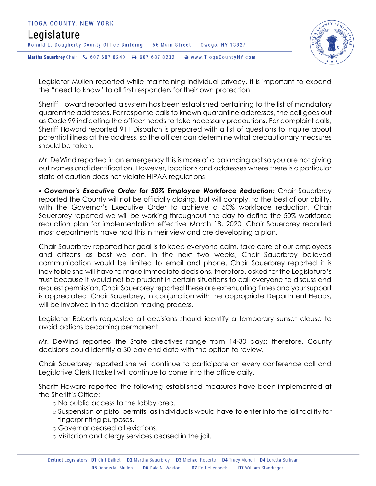



Legislator Mullen reported while maintaining individual privacy, it is important to expand the "need to know" to all first responders for their own protection.

Sheriff Howard reported a system has been established pertaining to the list of mandatory quarantine addresses. For response calls to known quarantine addresses, the call goes out as Code 99 indicating the officer needs to take necessary precautions. For complaint calls, Sheriff Howard reported 911 Dispatch is prepared with a list of questions to inquire about potential illness at the address, so the officer can determine what precautionary measures should be taken.

Mr. DeWind reported in an emergency this is more of a balancing act so you are not giving out names and identification. However, locations and addresses where there is a particular state of caution does not violate HIPAA regulations.

 *Governor's Executive Order for 50% Employee Workforce Reduction:* Chair Sauerbrey reported the County will not be officially closing, but will comply, to the best of our ability, with the Governor's Executive Order to achieve a 50% workforce reduction. Chair Sauerbrey reported we will be working throughout the day to define the 50% workforce reduction plan for implementation effective March 18, 2020. Chair Sauerbrey reported most departments have had this in their view and are developing a plan.

Chair Sauerbrey reported her goal is to keep everyone calm, take care of our employees and citizens as best we can. In the next two weeks, Chair Sauerbrey believed communication would be limited to email and phone. Chair Sauerbrey reported it is inevitable she will have to make immediate decisions, therefore, asked for the Legislature's trust because it would not be prudent in certain situations to call everyone to discuss and request permission. Chair Sauerbrey reported these are extenuating times and your support is appreciated. Chair Sauerbrey, in conjunction with the appropriate Department Heads, will be involved in the decision-making process.

Legislator Roberts requested all decisions should identify a temporary sunset clause to avoid actions becoming permanent.

Mr. DeWind reported the State directives range from 14-30 days; therefore, County decisions could identify a 30-day end date with the option to review.

Chair Sauerbrey reported she will continue to participate on every conference call and Legislative Clerk Haskell will continue to come into the office daily.

Sheriff Howard reported the following established measures have been implemented at the Sheriff's Office:

- o No public access to the lobby area.
- o Suspension of pistol permits, as individuals would have to enter into the jail facility for fingerprinting purposes.
- o Governor ceased all evictions.
- o Visitation and clergy services ceased in the jail.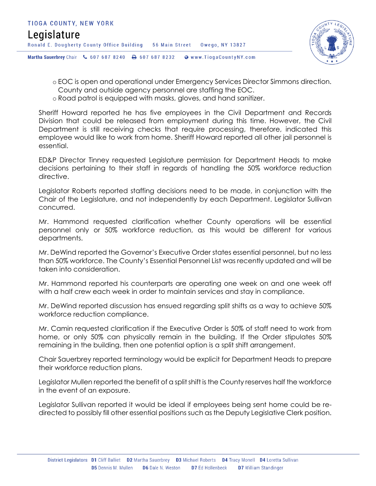

- o EOC is open and operational under Emergency Services Director Simmons direction.
- County and outside agency personnel are staffing the EOC.
- o Road patrol is equipped with masks, gloves, and hand sanitizer.

Sheriff Howard reported he has five employees in the Civil Department and Records Division that could be released from employment during this time. However, the Civil Department is still receiving checks that require processing, therefore, indicated this employee would like to work from home. Sheriff Howard reported all other jail personnel is essential.

ED&P Director Tinney requested Legislature permission for Department Heads to make decisions pertaining to their staff in regards of handling the 50% workforce reduction directive.

Legislator Roberts reported staffing decisions need to be made, in conjunction with the Chair of the Legislature, and not independently by each Department. Legislator Sullivan concurred.

Mr. Hammond requested clarification whether County operations will be essential personnel only or 50% workforce reduction, as this would be different for various departments.

Mr. DeWind reported the Governor's Executive Order states essential personnel, but no less than 50% workforce. The County's Essential Personnel List was recently updated and will be taken into consideration.

Mr. Hammond reported his counterparts are operating one week on and one week off with a half crew each week in order to maintain services and stay in compliance.

Mr. DeWind reported discussion has ensued regarding split shifts as a way to achieve 50% workforce reduction compliance.

Mr. Camin requested clarification if the Executive Order is 50% of staff need to work from home, or only 50% can physically remain in the building. If the Order stipulates 50% remaining in the building, then one potential option is a split shift arrangement.

Chair Sauerbrey reported terminology would be explicit for Department Heads to prepare their workforce reduction plans.

Legislator Mullen reported the benefit of a split shift is the County reserves half the workforce in the event of an exposure.

Legislator Sullivan reported it would be ideal if employees being sent home could be redirected to possibly fill other essential positions such as the Deputy Legislative Clerk position.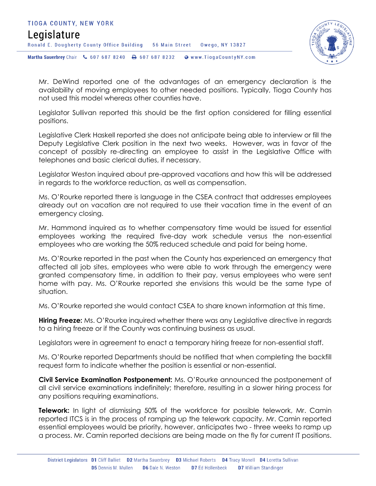



Mr. DeWind reported one of the advantages of an emergency declaration is the availability of moving employees to other needed positions. Typically, Tioga County has not used this model whereas other counties have.

Legislator Sullivan reported this should be the first option considered for filling essential positions.

Legislative Clerk Haskell reported she does not anticipate being able to interview or fill the Deputy Legislative Clerk position in the next two weeks. However, was in favor of the concept of possibly re-directing an employee to assist in the Legislative Office with telephones and basic clerical duties, if necessary.

Legislator Weston inquired about pre-approved vacations and how this will be addressed in regards to the workforce reduction, as well as compensation.

Ms. O'Rourke reported there is language in the CSEA contract that addresses employees already out on vacation are not required to use their vacation time in the event of an emergency closing.

Mr. Hammond inquired as to whether compensatory time would be issued for essential employees working the required five-day work schedule versus the non-essential employees who are working the 50% reduced schedule and paid for being home.

Ms. O'Rourke reported in the past when the County has experienced an emergency that affected all job sites, employees who were able to work through the emergency were granted compensatory time, in addition to their pay, versus employees who were sent home with pay. Ms. O'Rourke reported she envisions this would be the same type of situation.

Ms. O'Rourke reported she would contact CSEA to share known information at this time.

**Hiring Freeze:** Ms. O'Rourke inquired whether there was any Legislative directive in regards to a hiring freeze or if the County was continuing business as usual.

Legislators were in agreement to enact a temporary hiring freeze for non-essential staff.

Ms. O'Rourke reported Departments should be notified that when completing the backfill request form to indicate whether the position is essential or non-essential.

**Civil Service Examination Postponement:** Ms. O'Rourke announced the postponement of all civil service examinations indefinitely; therefore, resulting in a slower hiring process for any positions requiring examinations.

**Telework:** In light of dismissing 50% of the workforce for possible telework, Mr. Camin reported ITCS is in the process of ramping up the telework capacity. Mr. Camin reported essential employees would be priority, however, anticipates two - three weeks to ramp up a process. Mr. Camin reported decisions are being made on the fly for current IT positions.